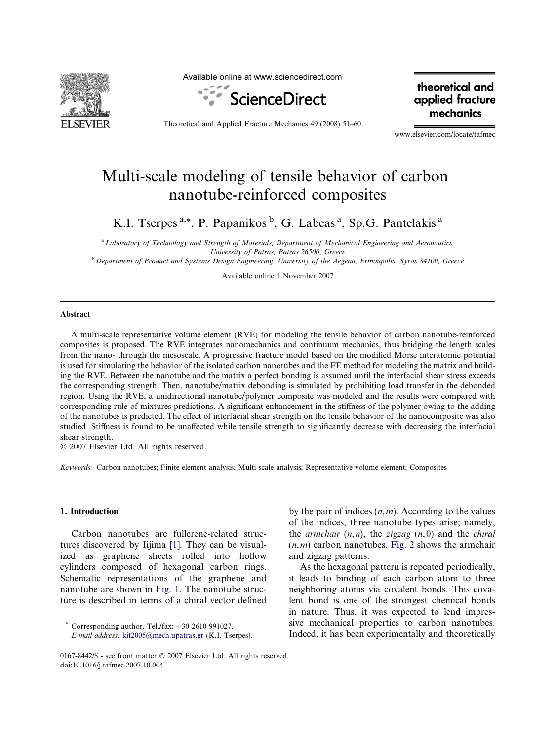

Available online at www.sciencedirect.com



Theoretical and Applied Fracture Mechanics 49 (2008) 51–60

theoretical and applied fracture mechanics

www.elsevier.com/locate/tafmec

# Multi-scale modeling of tensile behavior of carbon nanotube-reinforced composites

K.I. Tserpes<sup>a,\*</sup>, P. Papanikos<sup>b</sup>, G. Labeas<sup>a</sup>, Sp.G. Pantelakis<sup>a</sup>

a Laboratory of Technology and Strength of Materials, Department of Mechanical Engineering and Aeronautics, University of Patras, Patras 26500, Greece

**b** Department of Product and Systems Design Engineering, University of the Aegean, Ermoupolis, Syros 84100, Greece

Available online 1 November 2007

#### Abstract

A multi-scale representative volume element (RVE) for modeling the tensile behavior of carbon nanotube-reinforced composites is proposed. The RVE integrates nanomechanics and continuum mechanics, thus bridging the length scales from the nano- through the mesoscale. A progressive fracture model based on the modified Morse interatomic potential is used for simulating the behavior of the isolated carbon nanotubes and the FE method for modeling the matrix and building the RVE. Between the nanotube and the matrix a perfect bonding is assumed until the interfacial shear stress exceeds the corresponding strength. Then, nanotube/matrix debonding is simulated by prohibiting load transfer in the debonded region. Using the RVE, a unidirectional nanotube/polymer composite was modeled and the results were compared with corresponding rule-of-mixtures predictions. A significant enhancement in the stiffness of the polymer owing to the adding of the nanotubes is predicted. The effect of interfacial shear strength on the tensile behavior of the nanocomposite was also studied. Stiffness is found to be unaffected while tensile strength to significantly decrease with decreasing the interfacial shear strength.

 $© 2007 Elsevier Ltd. All rights reserved.$ 

Keywords: Carbon nanotubes; Finite element analysis; Multi-scale analysis; Representative volume element; Composites

#### 1. Introduction

Carbon nanotubes are fullerene-related structures discovered by Iijima [\[1\].](#page-9-0) They can be visualized as graphene sheets rolled into hollow cylinders composed of hexagonal carbon rings. Schematic representations of the graphene and nanotube are shown in [Fig. 1](#page-1-0). The nanotube structure is described in terms of a chiral vector defined by the pair of indices  $(n,m)$ . According to the values of the indices, three nanotube types arise; namely, the *armchair*  $(n, n)$ , the *zigzag*  $(n, 0)$  and the *chiral*  $(n,m)$  carbon nanotubes. [Fig. 2](#page-1-0) shows the armchair and zigzag patterns.

As the hexagonal pattern is repeated periodically, it leads to binding of each carbon atom to three neighboring atoms via covalent bonds. This covalent bond is one of the strongest chemical bonds in nature. Thus, it was expected to lend impressive mechanical properties to carbon nanotubes. Indeed, it has been experimentally and theoretically

Corresponding author. Tel./fax:  $+30$  2610 991027. E-mail address: [kit2005@mech.upatras.gr](mailto:kit2005@mech.upatras.gr) (K.I. Tserpes).

<sup>0167-8442/\$ -</sup> see front matter © 2007 Elsevier Ltd. All rights reserved. doi:10.1016/j.tafmec.2007.10.004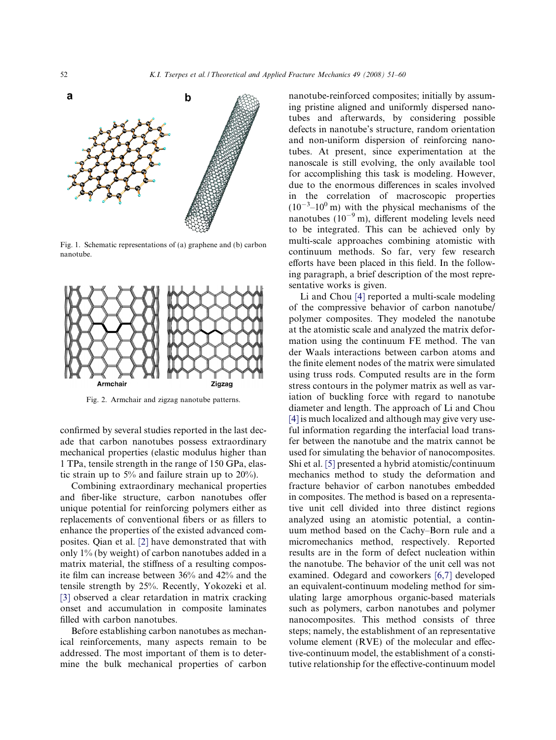<span id="page-1-0"></span>

Fig. 1. Schematic representations of (a) graphene and (b) carbon nanotube.



Fig. 2. Armchair and zigzag nanotube patterns.

confirmed by several studies reported in the last decade that carbon nanotubes possess extraordinary mechanical properties (elastic modulus higher than 1 TPa, tensile strength in the range of 150 GPa, elastic strain up to 5% and failure strain up to 20%).

Combining extraordinary mechanical properties and fiber-like structure, carbon nanotubes offer unique potential for reinforcing polymers either as replacements of conventional fibers or as fillers to enhance the properties of the existed advanced composites. Qian et al. [\[2\]](#page-9-0) have demonstrated that with only 1% (by weight) of carbon nanotubes added in a matrix material, the stiffness of a resulting composite film can increase between 36% and 42% and the tensile strength by 25%. Recently, Yokozeki et al. [\[3\]](#page-9-0) observed a clear retardation in matrix cracking onset and accumulation in composite laminates filled with carbon nanotubes.

Before establishing carbon nanotubes as mechanical reinforcements, many aspects remain to be addressed. The most important of them is to determine the bulk mechanical properties of carbon nanotube-reinforced composites; initially by assuming pristine aligned and uniformly dispersed nanotubes and afterwards, by considering possible defects in nanotube's structure, random orientation and non-uniform dispersion of reinforcing nanotubes. At present, since experimentation at the nanoscale is still evolving, the only available tool for accomplishing this task is modeling. However, due to the enormous differences in scales involved in the correlation of macroscopic properties  $(10^{-3}$ – $10^{0}$  m) with the physical mechanisms of the nanotubes  $(10^{-9} \text{ m})$ , different modeling levels need to be integrated. This can be achieved only by multi-scale approaches combining atomistic with continuum methods. So far, very few research efforts have been placed in this field. In the following paragraph, a brief description of the most representative works is given.

Li and Chou [\[4\]](#page-9-0) reported a multi-scale modeling of the compressive behavior of carbon nanotube/ polymer composites. They modeled the nanotube at the atomistic scale and analyzed the matrix deformation using the continuum FE method. The van der Waals interactions between carbon atoms and the finite element nodes of the matrix were simulated using truss rods. Computed results are in the form stress contours in the polymer matrix as well as variation of buckling force with regard to nanotube diameter and length. The approach of Li and Chou [\[4\]](#page-9-0) is much localized and although may give very useful information regarding the interfacial load transfer between the nanotube and the matrix cannot be used for simulating the behavior of nanocomposites. Shi et al. [\[5\]](#page-9-0) presented a hybrid atomistic/continuum mechanics method to study the deformation and fracture behavior of carbon nanotubes embedded in composites. The method is based on a representative unit cell divided into three distinct regions analyzed using an atomistic potential, a continuum method based on the Cachy–Born rule and a micromechanics method, respectively. Reported results are in the form of defect nucleation within the nanotube. The behavior of the unit cell was not examined. Odegard and coworkers [\[6,7\]](#page-9-0) developed an equivalent-continuum modeling method for simulating large amorphous organic-based materials such as polymers, carbon nanotubes and polymer nanocomposites. This method consists of three steps; namely, the establishment of an representative volume element (RVE) of the molecular and effective-continuum model, the establishment of a constitutive relationship for the effective-continuum model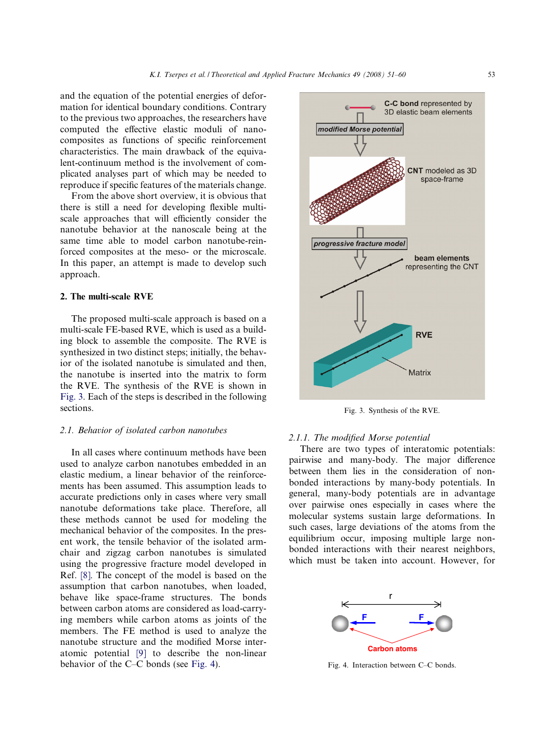and the equation of the potential energies of deformation for identical boundary conditions. Contrary to the previous two approaches, the researchers have computed the effective elastic moduli of nanocomposites as functions of specific reinforcement characteristics. The main drawback of the equivalent-continuum method is the involvement of complicated analyses part of which may be needed to reproduce if specific features of the materials change.

From the above short overview, it is obvious that there is still a need for developing flexible multiscale approaches that will efficiently consider the nanotube behavior at the nanoscale being at the same time able to model carbon nanotube-reinforced composites at the meso- or the microscale. In this paper, an attempt is made to develop such approach.

### 2. The multi-scale RVE

The proposed multi-scale approach is based on a multi-scale FE-based RVE, which is used as a building block to assemble the composite. The RVE is synthesized in two distinct steps; initially, the behavior of the isolated nanotube is simulated and then, the nanotube is inserted into the matrix to form the RVE. The synthesis of the RVE is shown in Fig. 3. Each of the steps is described in the following sections.

## 2.1. Behavior of isolated carbon nanotubes

In all cases where continuum methods have been used to analyze carbon nanotubes embedded in an elastic medium, a linear behavior of the reinforcements has been assumed. This assumption leads to accurate predictions only in cases where very small nanotube deformations take place. Therefore, all these methods cannot be used for modeling the mechanical behavior of the composites. In the present work, the tensile behavior of the isolated armchair and zigzag carbon nanotubes is simulated using the progressive fracture model developed in Ref. [\[8\].](#page-9-0) The concept of the model is based on the assumption that carbon nanotubes, when loaded, behave like space-frame structures. The bonds between carbon atoms are considered as load-carrying members while carbon atoms as joints of the members. The FE method is used to analyze the nanotube structure and the modified Morse interatomic potential [\[9\]](#page-9-0) to describe the non-linear behavior of the C–C bonds (see Fig. 4).



Fig. 3. Synthesis of the RVE.

#### 2.1.1. The modified Morse potential

There are two types of interatomic potentials: pairwise and many-body. The major difference between them lies in the consideration of nonbonded interactions by many-body potentials. In general, many-body potentials are in advantage over pairwise ones especially in cases where the molecular systems sustain large deformations. In such cases, large deviations of the atoms from the equilibrium occur, imposing multiple large nonbonded interactions with their nearest neighbors, which must be taken into account. However, for



Fig. 4. Interaction between C–C bonds.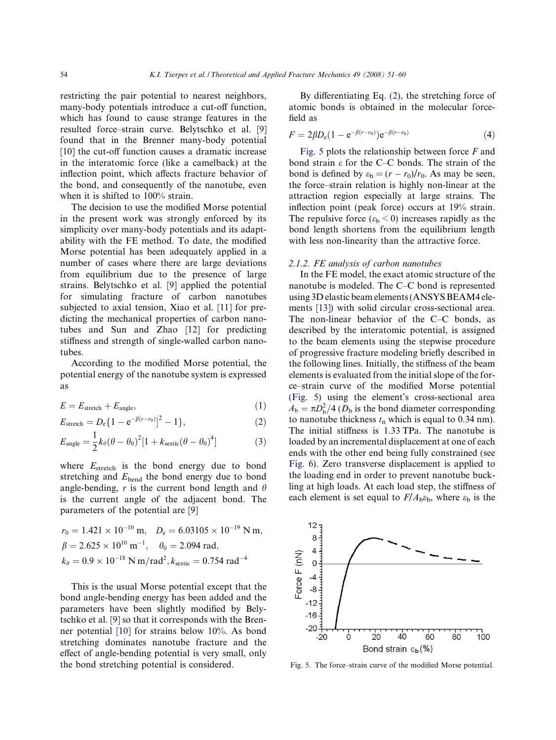<span id="page-3-0"></span>restricting the pair potential to nearest neighbors, many-body potentials introduce a cut-off function, which has found to cause strange features in the resulted force–strain curve. Belytschko et al. [\[9\]](#page-9-0) found that in the Brenner many-body potential [\[10\]](#page-9-0) the cut-off function causes a dramatic increase in the interatomic force (like a camelback) at the inflection point, which affects fracture behavior of the bond, and consequently of the nanotube, even when it is shifted to 100% strain.

The decision to use the modified Morse potential in the present work was strongly enforced by its simplicity over many-body potentials and its adaptability with the FE method. To date, the modified Morse potential has been adequately applied in a number of cases where there are large deviations from equilibrium due to the presence of large strains. Belytschko et al. [\[9\]](#page-9-0) applied the potential for simulating fracture of carbon nanotubes subjected to axial tension, Xiao et al. [\[11\]](#page-9-0) for predicting the mechanical properties of carbon nanotubes and Sun and Zhao [\[12\]](#page-9-0) for predicting stiffness and strength of single-walled carbon nanotubes.

According to the modified Morse potential, the potential energy of the nanotube system is expressed as

$$
E = E_{\text{stretch}} + E_{\text{angle}},\tag{1}
$$

$$
E_{\text{stretch}} = D_e \{ 1 - e^{-\beta(r - r_0)} \}^2 - 1 \}, \tag{2}
$$

$$
E_{\text{angle}} = \frac{1}{2}k_{\theta}(\theta - \theta_0)^2[1 + k_{\text{scatic}}(\theta - \theta_0)^4]
$$
 (3)

where  $E_{\text{stretch}}$  is the bond energy due to bond stretching and  $E_{\text{bend}}$  the bond energy due to bond angle-bending, r is the current bond length and  $\theta$ is the current angle of the adjacent bond. The parameters of the potential are [\[9\]](#page-9-0)

$$
r_0 = 1.421 \times 10^{-10} \text{ m}, \quad D_e = 6.03105 \times 10^{-19} \text{ N m},
$$
  
\n $\beta = 2.625 \times 10^{10} \text{ m}^{-1}, \quad \theta_0 = 2.094 \text{ rad},$   
\n $k_\theta = 0.9 \times 10^{-18} \text{ N m/rad}^2, k_{\text{sc}\text{xtic}} = 0.754 \text{ rad}^{-4}$ 

This is the usual Morse potential except that the bond angle-bending energy has been added and the parameters have been slightly modified by Belytschko et al. [\[9\]](#page-9-0) so that it corresponds with the Brenner potential [\[10\]](#page-9-0) for strains below 10%. As bond stretching dominates nanotube fracture and the effect of angle-bending potential is very small, only the bond stretching potential is considered.

By differentiating Eq. (2), the stretching force of atomic bonds is obtained in the molecular forcefield as

$$
F = 2\beta D_e (1 - e^{-\beta(r - r_0)}) e^{-\beta(r - r_0)}
$$
\n(4)

Fig. 5 plots the relationship between force  $F$  and bond strain  $\varepsilon$  for the C–C bonds. The strain of the bond is defined by  $\varepsilon_b = (r - r_0)/r_0$ . As may be seen, the force–strain relation is highly non-linear at the attraction region especially at large strains. The inflection point (peak force) occurs at 19% strain. The repulsive force  $(\epsilon_b < 0)$  increases rapidly as the bond length shortens from the equilibrium length with less non-linearity than the attractive force.

#### 2.1.2. FE analysis of carbon nanotubes

In the FE model, the exact atomic structure of the nanotube is modeled. The C–C bond is represented using 3D elastic beam elements (ANSYS BEAM4 elements [\[13\]](#page-9-0)) with solid circular cross-sectional area. The non-linear behavior of the C–C bonds, as described by the interatomic potential, is assigned to the beam elements using the stepwise procedure of progressive fracture modeling briefly described in the following lines. Initially, the stiffness of the beam elements is evaluated from the initial slope of the force–strain curve of the modified Morse potential (Fig. 5) using the element's cross-sectional area  $A_{\rm b} = \pi D_{\rm b}^2/4$  ( $D_{\rm b}$  is the bond diameter corresponding to nanotube thickness  $t_n$  which is equal to 0.34 nm). The initial stiffness is 1.33 TPa. The nanotube is loaded by an incremental displacement at one of each ends with the other end being fully constrained (see [Fig. 6\)](#page-4-0). Zero transverse displacement is applied to the loading end in order to prevent nanotube buckling at high loads. At each load step, the stiffness of each element is set equal to  $F/A_b\varepsilon_b$ , where  $\varepsilon_b$  is the



Fig. 5. The force–strain curve of the modified Morse potential.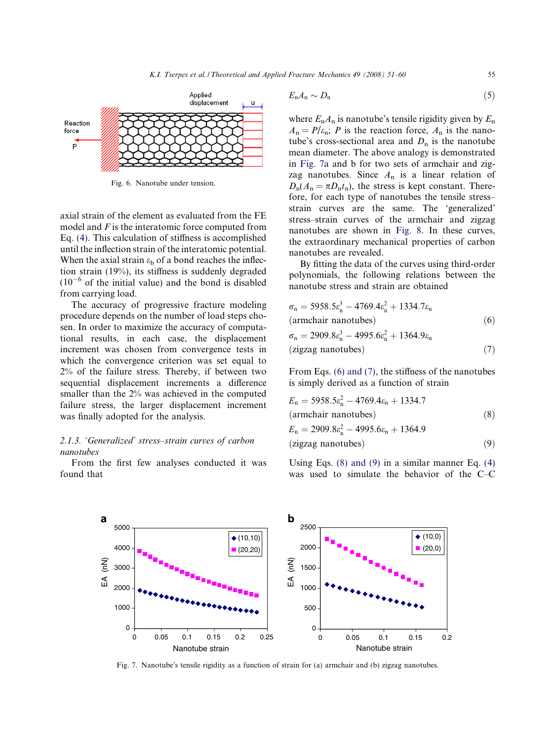<span id="page-4-0"></span>

Fig. 6. Nanotube under tension.

axial strain of the element as evaluated from the FE model and  $F$  is the interatomic force computed from Eq. [\(4\).](#page-3-0) This calculation of stiffness is accomplished until the inflection strain of the interatomic potential. When the axial strain  $\varepsilon_b$  of a bond reaches the inflection strain (19%), its stiffness is suddenly degraded  $(10^{-6}$  of the initial value) and the bond is disabled from carrying load.

The accuracy of progressive fracture modeling procedure depends on the number of load steps chosen. In order to maximize the accuracy of computational results, in each case, the displacement increment was chosen from convergence tests in which the convergence criterion was set equal to 2% of the failure stress. Thereby, if between two sequential displacement increments a difference smaller than the 2% was achieved in the computed failure stress, the larger displacement increment was finally adopted for the analysis.

## 2.1.3. 'Generalized' stress–strain curves of carbon nanotubes

From the first few analyses conducted it was found that

$$
E_n A_n \sim D_n \tag{5}
$$

where  $E_n A_n$  is nanotube's tensile rigidity given by  $E_n$  $A_n = P/\varepsilon_n$ ; P is the reaction force,  $A_n$  is the nanotube's cross-sectional area and  $D_n$  is the nanotube mean diameter. The above analogy is demonstrated in Fig. 7a and b for two sets of armchair and zigzag nanotubes. Since  $A_n$  is a linear relation of  $D_n(A_n = \pi D_n t_n)$ , the stress is kept constant. Therefore, for each type of nanotubes the tensile stress– strain curves are the same. The 'generalized' stress–strain curves of the armchair and zigzag nanotubes are shown in [Fig. 8.](#page-5-0) In these curves, the extraordinary mechanical properties of carbon nanotubes are revealed.

By fitting the data of the curves using third-order polynomials, the following relations between the nanotube stress and strain are obtained

$$
\sigma_{n} = 5958.5\varepsilon_{n}^{3} - 4769.4\varepsilon_{n}^{2} + 1334.7\varepsilon_{n}
$$
  
(armchair nanotubes)  

$$
\sigma_{n} = 2909.8\varepsilon_{n}^{3} - 4995.6\varepsilon_{n}^{2} + 1364.9\varepsilon_{n}
$$
  
(zigzag nanotubes) (7)

From Eqs. (6) and (7), the stiffness of the nanotubes is simply derived as a function of strain

$$
E_n = 5958.5\varepsilon_n^2 - 4769.4\varepsilon_n + 1334.7
$$
  
(armchair nanotubes) (8)  

$$
E_n = 2909.8\varepsilon_n^2 - 4995.6\varepsilon_n + 1364.9
$$
  
(zigzag nanotubes) (9)

Using Eqs.  $(8)$  and  $(9)$  in a similar manner Eq.  $(4)$ was used to simulate the behavior of the C–C



Fig. 7. Nanotube's tensile rigidity as a function of strain for (a) armchair and (b) zigzag nanotubes.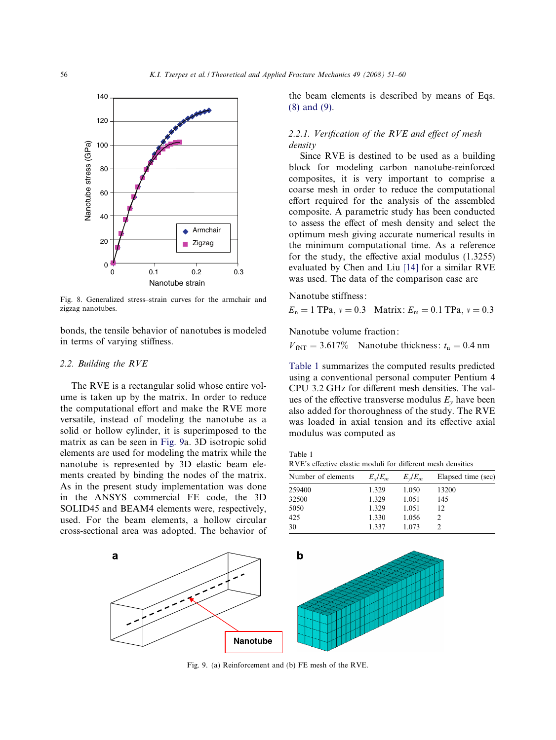<span id="page-5-0"></span>

Fig. 8. Generalized stress–strain curves for the armchair and zigzag nanotubes.

bonds, the tensile behavior of nanotubes is modeled in terms of varying stiffness.

#### 2.2. Building the RVE

The RVE is a rectangular solid whose entire volume is taken up by the matrix. In order to reduce the computational effort and make the RVE more versatile, instead of modeling the nanotube as a solid or hollow cylinder, it is superimposed to the matrix as can be seen in Fig. 9a. 3D isotropic solid elements are used for modeling the matrix while the nanotube is represented by 3D elastic beam elements created by binding the nodes of the matrix. As in the present study implementation was done in the ANSYS commercial FE code, the 3D SOLID45 and BEAM4 elements were, respectively, used. For the beam elements, a hollow circular cross-sectional area was adopted. The behavior of the beam elements is described by means of Eqs. [\(8\) and \(9\).](#page-4-0)

## 2.2.1. Verification of the RVE and effect of mesh density

Since RVE is destined to be used as a building block for modeling carbon nanotube-reinforced composites, it is very important to comprise a coarse mesh in order to reduce the computational effort required for the analysis of the assembled composite. A parametric study has been conducted to assess the effect of mesh density and select the optimum mesh giving accurate numerical results in the minimum computational time. As a reference for the study, the effective axial modulus (1.3255) evaluated by Chen and Liu [\[14\]](#page-9-0) for a similar RVE was used. The data of the comparison case are

Nanotube stiffness:

 $E_n = 1$  TPa,  $v = 0.3$  Matrix:  $E_m = 0.1$  TPa,  $v = 0.3$ 

Nanotube volume fraction:

 $V_{fNT} = 3.617\%$  Nanotube thickness:  $t_n = 0.4$  nm

Table 1 summarizes the computed results predicted using a conventional personal computer Pentium 4 CPU 3.2 GHz for different mesh densities. The values of the effective transverse modulus  $E<sub>v</sub>$  have been also added for thoroughness of the study. The RVE was loaded in axial tension and its effective axial modulus was computed as

Table 1 RVE's effective elastic moduli for different mesh densities

| Number of elements | $E_{\rm y}/E_m$ | $E_v/E_m$ | Elapsed time (sec) |
|--------------------|-----------------|-----------|--------------------|
| 259400             | 1.329           | 1.050     | 13200              |
| 32500              | 1.329           | 1.051     | 145                |
| 5050               | 1.329           | 1.051     | 12                 |
| 425                | 1.330           | 1.056     |                    |
| 30                 | 1337            | 1.073     |                    |



Fig. 9. (a) Reinforcement and (b) FE mesh of the RVE.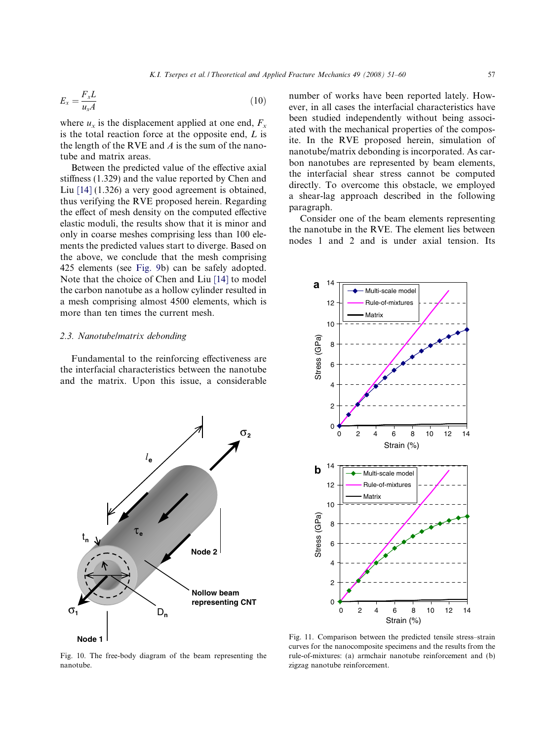<span id="page-6-0"></span>
$$
E_x = \frac{F_x L}{u_x A} \tag{10}
$$

where  $u_x$  is the displacement applied at one end,  $F_x$ is the total reaction force at the opposite end,  $L$  is the length of the RVE and  $\vec{A}$  is the sum of the nanotube and matrix areas.

Between the predicted value of the effective axial stiffness (1.329) and the value reported by Chen and Liu [\[14\]](#page-9-0) (1.326) a very good agreement is obtained, thus verifying the RVE proposed herein. Regarding the effect of mesh density on the computed effective elastic moduli, the results show that it is minor and only in coarse meshes comprising less than 100 elements the predicted values start to diverge. Based on the above, we conclude that the mesh comprising 425 elements (see [Fig. 9](#page-5-0)b) can be safely adopted. Note that the choice of Chen and Liu [\[14\]](#page-9-0) to model the carbon nanotube as a hollow cylinder resulted in a mesh comprising almost 4500 elements, which is more than ten times the current mesh.

### 2.3. Nanotube/matrix debonding

Fundamental to the reinforcing effectiveness are the interfacial characteristics between the nanotube and the matrix. Upon this issue, a considerable



Fig. 10. The free-body diagram of the beam representing the nanotube.

number of works have been reported lately. However, in all cases the interfacial characteristics have been studied independently without being associated with the mechanical properties of the composite. In the RVE proposed herein, simulation of nanotube/matrix debonding is incorporated. As carbon nanotubes are represented by beam elements, the interfacial shear stress cannot be computed directly. To overcome this obstacle, we employed a shear-lag approach described in the following paragraph.

Consider one of the beam elements representing the nanotube in the RVE. The element lies between nodes 1 and 2 and is under axial tension. Its



Fig. 11. Comparison between the predicted tensile stress–strain curves for the nanocomposite specimens and the results from the rule-of-mixtures: (a) armchair nanotube reinforcement and (b) zigzag nanotube reinforcement.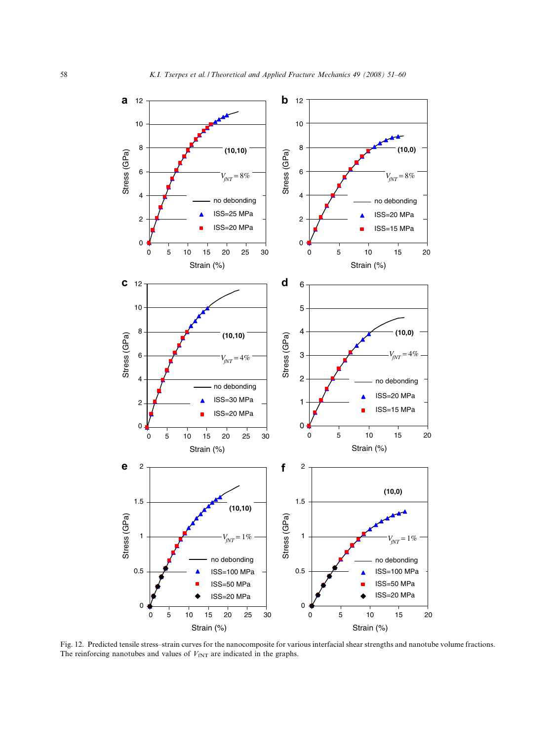<span id="page-7-0"></span>

Fig. 12. Predicted tensile stress–strain curves for the nanocomposite for various interfacial shear strengths and nanotube volume fractions. The reinforcing nanotubes and values of  $V_{fNT}$  are indicated in the graphs.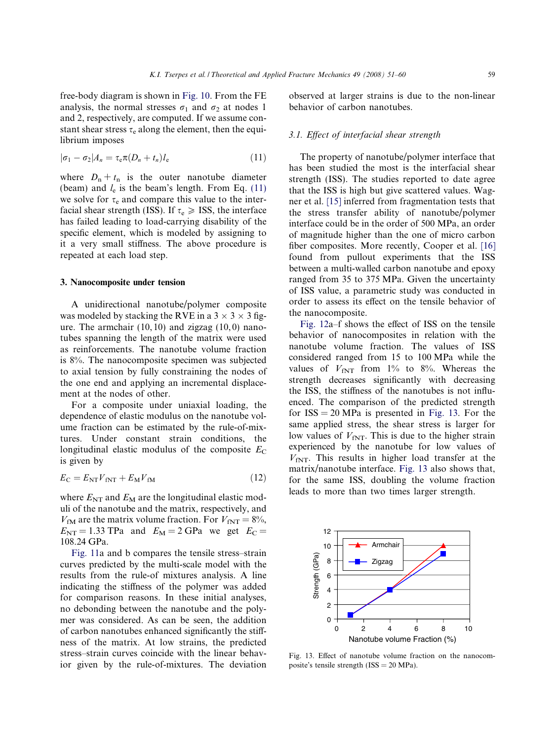free-body diagram is shown in [Fig. 10.](#page-6-0) From the FE analysis, the normal stresses  $\sigma_1$  and  $\sigma_2$  at nodes 1 and 2, respectively, are computed. If we assume constant shear stress  $\tau_e$  along the element, then the equilibrium imposes

$$
|\sigma_1 - \sigma_2| A_n = \tau_e \pi (D_n + t_n) l_e \tag{11}
$$

where  $D_n + t_n$  is the outer nanotube diameter (beam) and  $l_e$  is the beam's length. From Eq. (11) we solve for  $\tau_e$  and compare this value to the interfacial shear strength (ISS). If  $\tau_e \geq$  ISS, the interface has failed leading to load-carrying disability of the specific element, which is modeled by assigning to it a very small stiffness. The above procedure is repeated at each load step.

#### 3. Nanocomposite under tension

A unidirectional nanotube/polymer composite was modeled by stacking the RVE in a  $3 \times 3 \times 3$  figure. The armchair  $(10, 10)$  and zigzag  $(10, 0)$  nanotubes spanning the length of the matrix were used as reinforcements. The nanotube volume fraction is 8%. The nanocomposite specimen was subjected to axial tension by fully constraining the nodes of the one end and applying an incremental displacement at the nodes of other.

For a composite under uniaxial loading, the dependence of elastic modulus on the nanotube volume fraction can be estimated by the rule-of-mixtures. Under constant strain conditions, the longitudinal elastic modulus of the composite  $E_C$ is given by

$$
E_{\rm C} = E_{\rm NT} V_{\rm fNT} + E_{\rm M} V_{\rm fM} \tag{12}
$$

where  $E_{NT}$  and  $E_M$  are the longitudinal elastic moduli of the nanotube and the matrix, respectively, and  $V_{fM}$  are the matrix volume fraction. For  $V_{fNT} = 8\%,$  $E_{\text{NT}} = 1.33$  TPa and  $E_M = 2$  GPa we get  $E_C =$ 108.24 GPa.

[Fig. 11a](#page-6-0) and b compares the tensile stress–strain curves predicted by the multi-scale model with the results from the rule-of mixtures analysis. A line indicating the stiffness of the polymer was added for comparison reasons. In these initial analyses, no debonding between the nanotube and the polymer was considered. As can be seen, the addition of carbon nanotubes enhanced significantly the stiffness of the matrix. At low strains, the predicted stress–strain curves coincide with the linear behavior given by the rule-of-mixtures. The deviation observed at larger strains is due to the non-linear behavior of carbon nanotubes.

#### 3.1. Effect of interfacial shear strength

The property of nanotube/polymer interface that has been studied the most is the interfacial shear strength (ISS). The studies reported to date agree that the ISS is high but give scattered values. Wagner et al. [\[15\]](#page-9-0) inferred from fragmentation tests that the stress transfer ability of nanotube/polymer interface could be in the order of 500 MPa, an order of magnitude higher than the one of micro carbon fiber composites. More recently, Cooper et al. [\[16\]](#page-9-0) found from pullout experiments that the ISS between a multi-walled carbon nanotube and epoxy ranged from 35 to 375 MPa. Given the uncertainty of ISS value, a parametric study was conducted in order to assess its effect on the tensile behavior of the nanocomposite.

[Fig. 12](#page-7-0)a–f shows the effect of ISS on the tensile behavior of nanocomposites in relation with the nanotube volume fraction. The values of ISS considered ranged from 15 to 100 MPa while the values of  $V_{fNT}$  from 1% to 8%. Whereas the strength decreases significantly with decreasing the ISS, the stiffness of the nanotubes is not influenced. The comparison of the predicted strength for  $ISS = 20 MPa$  is presented in Fig. 13. For the same applied stress, the shear stress is larger for low values of  $V_{fNT}$ . This is due to the higher strain experienced by the nanotube for low values of  $V_{fNT}$ . This results in higher load transfer at the matrix/nanotube interface. Fig. 13 also shows that, for the same ISS, doubling the volume fraction leads to more than two times larger strength.



Fig. 13. Effect of nanotube volume fraction on the nanocomposite's tensile strength (ISS = 20 MPa).